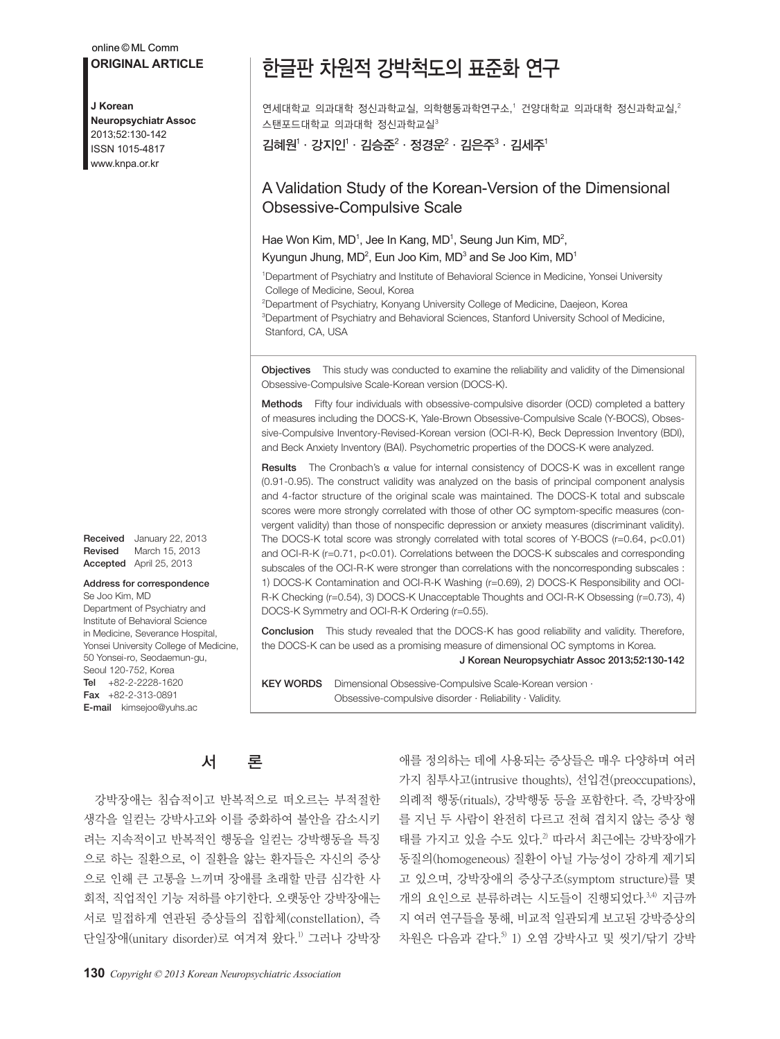#### online © ML Comm

**ORIGINAL ARTICLE**

#### **J Korean**

**Neuropsychiatr Assoc** 2013;52:130-142 ISSN 1015-4817 www.knpa.or.kr

Received January 22, 2013 Revised March 15, 2013 Accepted April 25, 2013

#### Address for correspondence Se Joo Kim, MD

Department of Psychiatry and Institute of Behavioral Science in Medicine, Severance Hospital, Yonsei University College of Medicine, 50 Yonsei-ro, Seodaemun-gu, Seoul 120-752, Korea Tel +82-2-2228-1620 Fax +82-2-313-0891 E-mail kimsejoo@yuhs.ac

# 한글판 차원적 강박척도의 표준화 연구

연세대학교 의과대학 정신과학교실, 의학행동과학연구소,' 건양대학교 의과대학 정신과학교실, $^2$  $\triangle$  탠포드대학교 의과대학 정신과학교실 $3$ 

김혜원 $^{\rm l}\cdot$  강지인 $^{\rm l}\cdot$  김승준 $^{\rm 2}\cdot$  정경운 $^{\rm 2}\cdot$  김은주 $^{\rm 3}\cdot$  김세주 $^{\rm l}$ 

### A Validation Study of the Korean-Version of the Dimensional Obsessive-Compulsive Scale

Hae Won Kim, MD<sup>1</sup>, Jee In Kang, MD<sup>1</sup>, Seung Jun Kim, MD<sup>2</sup>, Kyungun Jhung,  $MD^2$ , Eun Joo Kim,  $MD^3$  and Se Joo Kim,  $MD^1$ 

1Department of Psychiatry and Institute of Behavioral Science in Medicine, Yonsei University College of Medicine, Seoul, Korea

2 Department of Psychiatry, Konyang University College of Medicine, Daejeon, Korea 3Department of Psychiatry and Behavioral Sciences, Stanford University School of Medicine, Stanford, CA, USA

Objectives This study was conducted to examine the reliability and validity of the Dimensional Obsessive-Compulsive Scale-Korean version (DOCS-K).

Methods Fifty four individuals with obsessive-compulsive disorder (OCD) completed a battery of measures including the DOCS-K, Yale-Brown Obsessive-Compulsive Scale (Y-BOCS), Obsessive-Compulsive Inventory-Revised-Korean version (OCI-R-K), Beck Depression Inventory (BDI), and Beck Anxiety Inventory (BAI). Psychometric properties of the DOCS-K were analyzed.

**Results** The Cronbach's α value for internal consistency of DOCS-K was in excellent range (0.91-0.95). The construct validity was analyzed on the basis of principal component analysis and 4-factor structure of the original scale was maintained. The DOCS-K total and subscale scores were more strongly correlated with those of other OC symptom-specific measures (convergent validity) than those of nonspecific depression or anxiety measures (discriminant validity). The DOCS-K total score was strongly correlated with total scores of Y-BOCS (r=0.64, p<0.01) and OCI-R-K (r=0.71, p<0.01). Correlations between the DOCS-K subscales and corresponding subscales of the OCI-R-K were stronger than correlations with the noncorresponding subscales : 1) DOCS-K Contamination and OCI-R-K Washing (r=0.69), 2) DOCS-K Responsibility and OCI-R-K Checking (r=0.54), 3) DOCS-K Unacceptable Thoughts and OCI-R-K Obsessing (r=0.73), 4) DOCS-K Symmetry and OCI-R-K Ordering (r=0.55).

**Conclusion** This study revealed that the DOCS-K has good reliability and validity. Therefore, the DOCS-K can be used as a promising measure of dimensional OC symptoms in Korea.

J Korean Neuropsychiatr Assoc 2013;52:130-142

KEY WORDS Dimensional Obsessive-Compulsive Scale-Korean version · Obsessive-compulsive disorder · Reliability · Validity.

## 서 론

강박장애는 침습적이고 반복적으로 떠오르는 부적절한 생각을 일컫는 강박사고와 이를 중화하여 불안을 감소시키 려는 지속적이고 반복적인 행동을 일컫는 강박행동을 특징 으로 하는 질환으로, 이 질환을 앓는 환자들은 자신의 증상 으로 인해 큰 고통을 느끼며 장애를 초래할 만큼 심각한 사 회적, 직업적인 기능 저하를 야기한다. 오랫동안 강박장애는 서로 밀접하게 연관된 증상들의 집합체(constellation), 즉 단일장애(unitary disorder)로 여겨져 왔다. 1) 그러나 강박장

애를 정의하는 데에 사용되는 증상들은 매우 다양하며 여러 가지 침투사고(intrusive thoughts), 선입견(preoccupations), 의례적 행동(rituals), 강박행동 등을 포함한다. 즉, 강박장애 를 지닌 두 사람이 완전히 다르고 전혀 겹치지 않는 증상 형 태를 가지고 있을 수도 있다. 2) 따라서 최근에는 강박장애가 동질의(homogeneous) 질환이 아닐 가능성이 강하게 제기되 고 있으며, 강박장애의 증상구조(symptom structure)를 몇 개의 요인으로 분류하려는 시도들이 진행되었다. 3,4) 지금까 지 여러 연구들을 통해, 비교적 일관되게 보고된 강박증상의 차원은 다음과 같다. 5) 1) 오염 강박사고 및 씻기/닦기 강박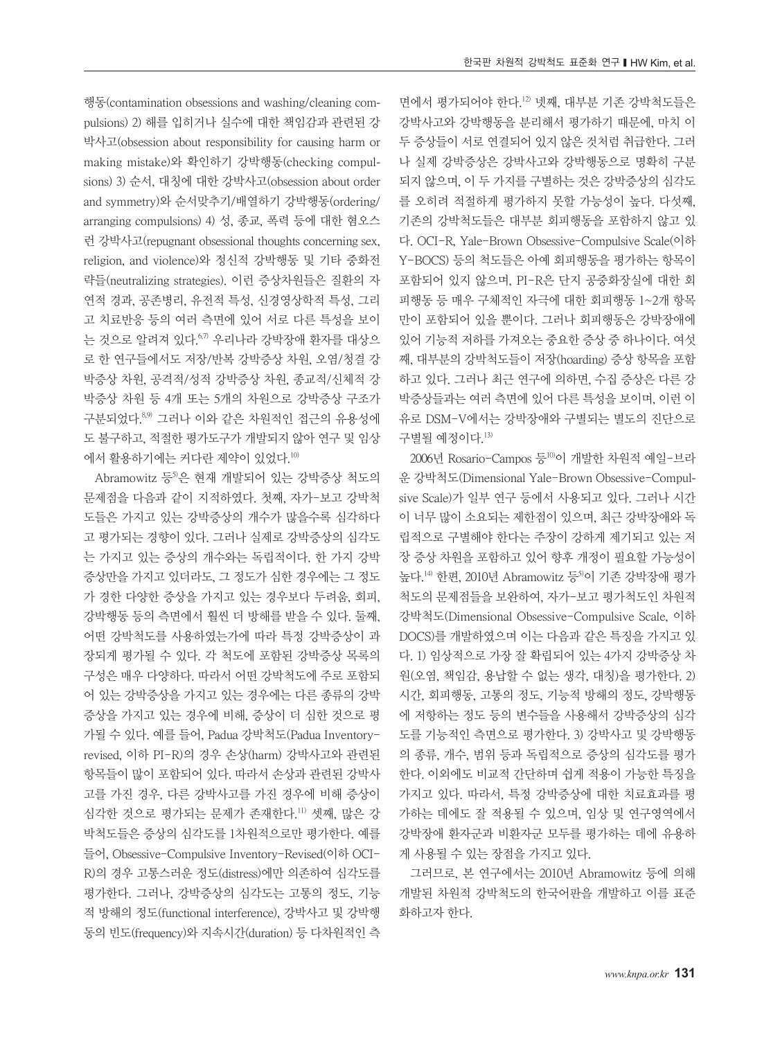행동(contamination obsessions and washing/cleaning compulsions) 2) 해를 입히거나 실수에 대한 책임감과 관련된 강 박사고(obsession about responsibility for causing harm or making mistake)와 확인하기 강박행동(checking compulsions) 3) 순서, 대칭에 대한 강박사고(obsession about order and symmetry)와 순서맞추기/배열하기 강박행동(ordering/ arranging compulsions) 4) 성, 종교, 폭력 등에 대한 혐오스 런 강박사고(repugnant obsessional thoughts concerning sex, religion, and violence)와 정신적 강박행동 및 기타 중화전 략들(neutralizing strategies). 이런 증상차원들은 질환의 자 연적 경과, 공존병리, 유전적 특성, 신경영상학적 특성, 그리 고 치료반응 등의 여러 측면에 있어 서로 다른 특성을 보이 는 것으로 알려져 있다. 67) 우리나라 강박장애 환자를 대상으 로 한 연구들에서도 저장/반복 강박증상 차원, 오염/청결 강 박증상 차원, 공격적/성적 강박증상 차원, 종교적/신체적 강 박증상 차원 등 4개 또는 5개의 차원으로 강박증상 구조가 구분되었다. 8,9) 그러나 이와 같은 차원적인 접근의 유용성에 도 불구하고, 적절한 평가도구가 개발되지 않아 연구 및 임상 에서 활용하기에는 커다란 제약이 있었다. 10)

Abramowitz 등<sup>5)</sup>은 현재 개발되어 있는 강박증상 척도의 문제점을 다음과 같이 지적하였다. 첫째, 자가-보고 강박척 도들은 가지고 있는 강박증상의 개수가 많을수록 심각하다 고 평가되는 경향이 있다. 그러나 실제로 강박증상의 심각도 는 가지고 있는 증상의 개수와는 독립적이다. 한 가지 강박 증상만을 가지고 있더라도, 그 정도가 심한 경우에는 그 정도 가 경한 다양한 증상을 가지고 있는 경우보다 두려움, 회피, 강박행동 등의 측면에서 훨씬 더 방해를 받을 수 있다. 둘째, 어떤 강박척도를 사용하였는가에 따라 특정 강박증상이 과 장되게 평가될 수 있다. 각 척도에 포함된 강박증상 목록의 구성은 매우 다양하다. 따라서 어떤 강박척도에 주로 포함되 어 있는 강박증상을 가지고 있는 경우에는 다른 종류의 강박 증상을 가지고 있는 경우에 비해, 증상이 더 심한 것으로 평 가될 수 있다. 예를 들어, Padua 강박척도(Padua Inventoryrevised, 이하 PI-R)의 경우 손상(harm) 강박사고와 관련된 항목들이 많이 포함되어 있다. 따라서 손상과 관련된 강박사 고를 가진 경우, 다른 강박사고를 가진 경우에 비해 증상이 심각한 것으로 평가되는 문제가 존재한다. 11) 셋째, 많은 강 박척도들은 증상의 심각도를 1차원적으로만 평가한다. 예를 들어, Obsessive-Compulsive Inventory-Revised(이하 OCI-R)의 경우 고통스러운 정도(distress)에만 의존하여 심각도를 평가한다. 그러나, 강박증상의 심각도는 고통의 정도, 기능 적 방해의 정도(functional interference), 강박사고 및 강박행 동의 빈도(frequency)와 지속시간(duration) 등 다차원적인 측

면에서 평가되어야 한다. 12) 넷째, 대부분 기존 강박척도들은 강박사고와 강박행동을 분리해서 평가하기 때문에, 마치 이 두 증상들이 서로 연결되어 있지 않은 것처럼 취급한다. 그러 나 실제 강박증상은 강박사고와 강박행동으로 명확히 구분 되지 않으며, 이 두 가지를 구별하는 것은 강박증상의 심각도 를 오히려 적절하게 평가하지 못할 가능성이 높다. 다섯째, 기존의 강박척도들은 대부분 회피행동을 포함하지 않고 있 다. OCI-R, Yale-Brown Obsessive-Compulsive Scale(이하 Y-BOCS) 등의 척도들은 아예 회피행동을 평가하는 항목이 포함되어 있지 않으며, PI-R은 단지 공중화장실에 대한 회 피행동 등 매우 구체적인 자극에 대한 회피행동 1~2개 항목 만이 포함되어 있을 뿐이다. 그러나 회피행동은 강박장애에 있어 기능적 저하를 가져오는 중요한 증상 중 하나이다. 여섯 째, 대부분의 강박척도들이 저장(hoarding) 증상 항목을 포함 하고 있다. 그러나 최근 연구에 의하면, 수집 증상은 다른 강 박증상들과는 여러 측면에 있어 다른 특성을 보이며, 이런 이 유로 DSM-V에서는 강박장애와 구별되는 별도의 진단으로 구별될 예정이다. 13)

2006년 Rosario-Campos 등<sup>10)</sup>이 개발한 차원적 예일-브라 운 강박척도(Dimensional Yale-Brown Obsessive-Compulsive Scale)가 일부 연구 등에서 사용되고 있다. 그러나 시간 이 너무 많이 소요되는 제한점이 있으며, 최근 강박장애와 독 립적으로 구별해야 한다는 주장이 강하게 제기되고 있는 저 장 증상 차원을 포함하고 있어 향후 개정이 필요할 가능성이 높다.<sup>14)</sup> 한편, 2010년 Abramowitz 등<sup>5)</sup>이 기존 강박장애 평가 척도의 문제점들을 보완하여, 자가-보고 평가척도인 차원적 강박척도(Dimensional Obsessive-Compulsive Scale, 이하 DOCS)를 개발하였으며 이는 다음과 같은 특징을 가지고 있 다. 1) 임상적으로 가장 잘 확립되어 있는 4가지 강박증상 차 원(오염, 책임감, 용납할 수 없는 생각, 대칭)을 평가한다. 2) 시간, 회피행동, 고통의 정도, 기능적 방해의 정도, 강박행동 에 저항하는 정도 등의 변수들을 사용해서 강박증상의 심각 도를 기능적인 측면으로 평가한다. 3) 강박사고 및 강박행동 의 종류, 개수, 범위 등과 독립적으로 증상의 심각도를 평가 한다. 이외에도 비교적 간단하며 쉽게 적용이 가능한 특징을 가지고 있다. 따라서, 특정 강박증상에 대한 치료효과를 평 가하는 데에도 잘 적용될 수 있으며, 임상 및 연구영역에서 강박장애 환자군과 비환자군 모두를 평가하는 데에 유용하 게 사용될 수 있는 장점을 가지고 있다.

그러므로, 본 연구에서는 2010년 Abramowitz 등에 의해 개발된 차원적 강박척도의 한국어판을 개발하고 이를 표준 화하고자 한다.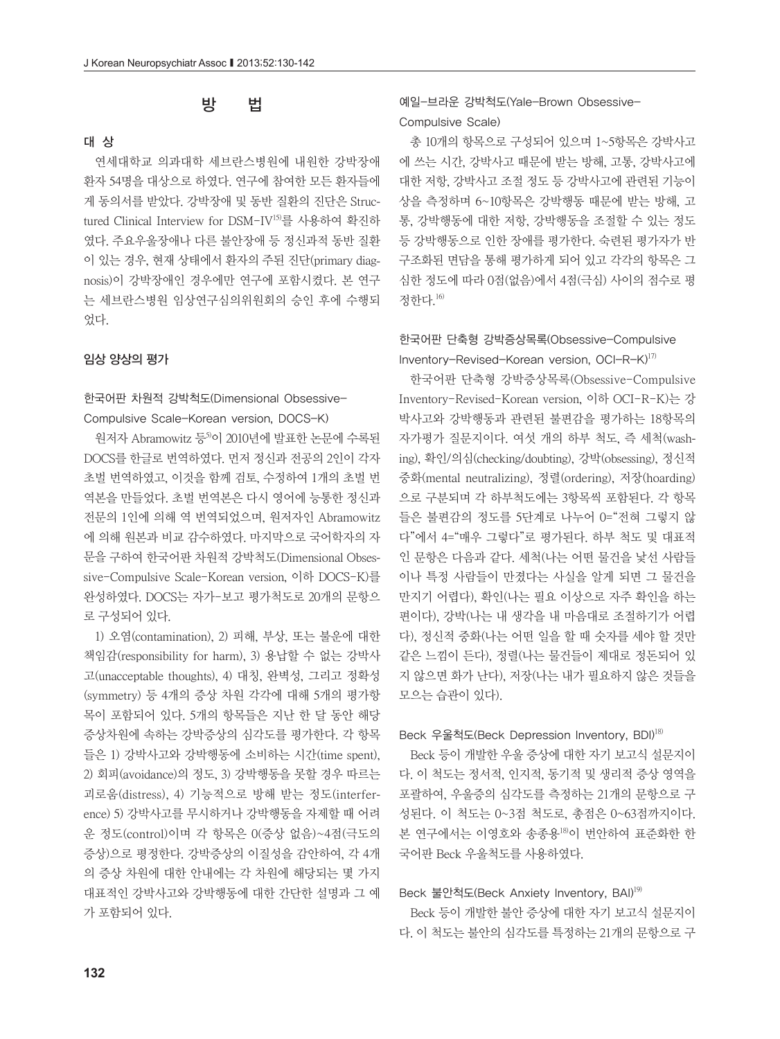### 방 법

#### 대 상

연세대학교 의과대학 세브란스병원에 내원한 강박장애 환자 54명을 대상으로 하였다. 연구에 참여한 모든 환자들에 게 동의서를 받았다. 강박장애 및 동반 질환의 진단은 Structured Clinical Interview for DSM-IV<sup>15)</sup>를 사용하여 확진하 였다. 주요우울장애나 다른 불안장애 등 정신과적 동반 질환 이 있는 경우, 현재 상태에서 환자의 주된 진단(primary diagnosis)이 강박장애인 경우에만 연구에 포함시켰다. 본 연구 는 세브란스병원 임상연구심의위원회의 승인 후에 수행되 었다.

### 임상 양상의 평가

### 한국어판 차원적 강박척도(Dimensional Obsessive-Compulsive Scale-Korean version, DOCS-K)

원저자 Abramowitz 등<sup>5)</sup>이 2010년에 발표한 논문에 수록된 DOCS를 한글로 번역하였다. 먼저 정신과 전공의 2인이 각자 초벌 번역하였고, 이것을 함께 검토, 수정하여 1개의 초벌 번 역본을 만들었다. 초벌 번역본은 다시 영어에 능통한 정신과 전문의 1인에 의해 역 번역되었으며, 원저자인 Abramowitz 에 의해 원본과 비교 감수하였다. 마지막으로 국어학자의 자 문을 구하여 한국어판 차원적 강박척도(Dimensional Obsessive-Compulsive Scale-Korean version, 이하 DOCS-K)를 완성하였다. DOCS는 자가-보고 평가척도로 20개의 문항으 로 구성되어 있다.

1) 오염(contamination), 2) 피해, 부상, 또는 불운에 대한 책임감(responsibility for harm), 3) 용납할 수 없는 강박사 고(unacceptable thoughts), 4) 대칭, 완벽성, 그리고 정확성 (symmetry) 등 4개의 증상 차원 각각에 대해 5개의 평가항 목이 포함되어 있다. 5개의 항목들은 지난 한 달 동안 해당 증상차원에 속하는 강박증상의 심각도를 평가한다. 각 항목 들은 1) 강박사고와 강박행동에 소비하는 시간(time spent), 2) 회피(avoidance)의 정도, 3) 강박행동을 못할 경우 따르는 괴로움(distress), 4) 기능적으로 방해 받는 정도(interference) 5) 강박사고를 무시하거나 강박행동을 자제할 때 어려 운 정도(control)이며 각 항목은 0(증상 없음)~4점(극도의 증상)으로 평정한다. 강박증상의 이질성을 감안하여, 각 4개 의 증상 차원에 대한 안내에는 각 차원에 해당되는 몇 가지 대표적인 강박사고와 강박행동에 대한 간단한 설명과 그 예 가 포함되어 있다.

### 예일-브라운 강박척도(Yale-Brown Obsessive-Compulsive Scale)

총 10개의 항목으로 구성되어 있으며 1~5항목은 강박사고 에 쓰는 시간, 강박사고 때문에 받는 방해, 고통, 강박사고에 대한 저항, 강박사고 조절 정도 등 강박사고에 관련된 기능이 상을 측정하며 6~10항목은 강박행동 때문에 받는 방해, 고 통, 강박행동에 대한 저항, 강박행동을 조절할 수 있는 정도 등 강박행동으로 인한 장애를 평가한다. 숙련된 평가자가 반 구조화된 면담을 통해 평가하게 되어 있고 각각의 항목은 그 심한 정도에 따라 0점(없음)에서 4점(극심) 사이의 점수로 평 정한다. 16)

### 한국어판 단축형 강박증상목록(Obsessive-Compulsive Inventory-Revised-Korean version, OCI-R-K)<sup>17)</sup>

한국어판 단축형 강박증상목록(Obsessive-Compulsive Inventory-Revised-Korean version, 이하 OCI-R-K)는 강 박사고와 강박행동과 관련된 불편감을 평가하는 18항목의 자가평가 질문지이다. 여섯 개의 하부 척도, 즉 세척(washing), 확인/의심(checking/doubting), 강박(obsessing), 정신적 중화(mental neutralizing), 정렬(ordering), 저장(hoarding) 으로 구분되며 각 하부척도에는 3항목씩 포함된다. 각 항목 들은 불편감의 정도를 5단계로 나누어 0="전혀 그렇지 않 다"에서 4="매우 그렇다"로 평가된다. 하부 척도 및 대표적 인 문항은 다음과 같다. 세척(나는 어떤 물건을 낯선 사람들 이나 특정 사람들이 만졌다는 사실을 알게 되면 그 물건을 만지기 어렵다), 확인(나는 필요 이상으로 자주 확인을 하는 편이다), 강박(나는 내 생각을 내 마음대로 조절하기가 어렵 다), 정신적 중화(나는 어떤 일을 할 때 숫자를 세야 할 것만 같은 느낌이 든다), 정렬(나는 물건들이 제대로 정돈되어 있 지 않으면 화가 난다), 저장(나는 내가 필요하지 않은 것들을 모으는 습관이 있다).

#### Beck 우울척도(Beck Depression Inventory, BDI)<sup>18)</sup>

Beck 등이 개발한 우울 증상에 대한 자기 보고식 설문지이 다. 이 척도는 정서적, 인지적, 동기적 및 생리적 증상 영역을 포괄하여, 우울증의 심각도를 측정하는 21개의 문항으로 구 성된다. 이 척도는 0~3점 척도로, 총점은 0~63점까지이다. 본 연구에서는 이영호와 송종용18) 이 번안하여 표준화한 한 국어판 Beck 우울척도를 사용하였다.

#### Beck 불안척도(Beck Anxiety Inventory, BAI)19)

Beck 등이 개발한 불안 증상에 대한 자기 보고식 설문지이 다. 이 척도는 불안의 심각도를 특정하는 21개의 문항으로 구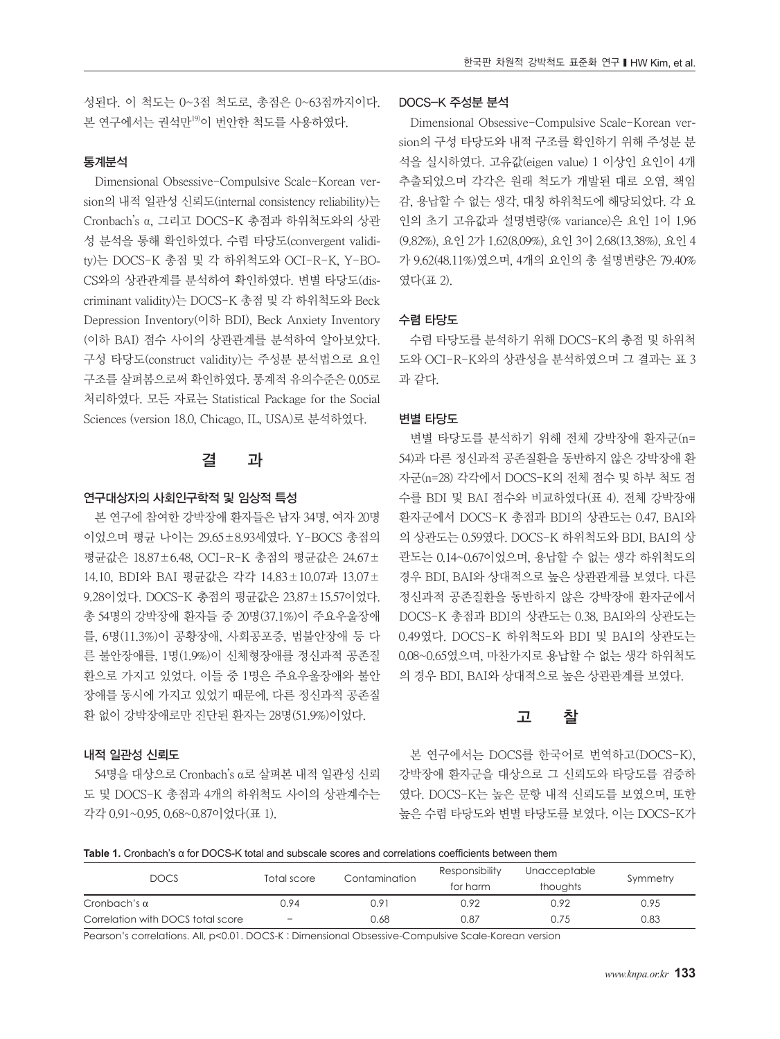성된다. 이 척도는 0~3점 척도로, 총점은 0~63점까지이다. 본 연구에서는 권석만19) 이 번안한 척도를 사용하였다.

#### 통계분석

Dimensional Obsessive-Compulsive Scale-Korean version의 내적 일관성 신뢰도(internal consistency reliability)는 Cronbach's α, 그리고 DOCS-K 총점과 하위척도와의 상관 성 분석을 통해 확인하였다. 수렴 타당도(convergent validity)는 DOCS-K 총점 및 각 하위척도와 OCI-R-K, Y-BO-CS와의 상관관계를 분석하여 확인하였다. 변별 타당도(discriminant validity)는 DOCS-K 총점 및 각 하위척도와 Beck Depression Inventory(이하 BDI), Beck Anxiety Inventory (이하 BAI) 점수 사이의 상관관계를 분석하여 알아보았다. 구성 타당도(construct validity)는 주성분 분석법으로 요인 구조를 살펴봄으로써 확인하였다. 통계적 유의수준은 0.05로 처리하였다. 모든 자료는 Statistical Package for the Social Sciences (version 18.0, Chicago, IL, USA)로 분석하였다.

### 결 과

#### 연구대상자의 사회인구학적 및 임상적 특성

본 연구에 참여한 강박장애 환자들은 남자 34명, 여자 20명 이었으며 평균 나이는 29.65±8.93세였다. Y-BOCS 총점의 평균값은 18.87±6.48, OCI-R-K 총점의 평균값은 24.67± 14.10, BDI와 BAI 평균값은 각각 14.83±10.07과 13.07± 9.28이었다. DOCS-K 총점의 평균값은 23.87±15.57이었다. 총 54명의 강박장애 환자들 중 20명(37.1%)이 주요우울장애 를, 6명(11.3%)이 공황장애, 사회공포증, 범불안장애 등 다 른 불안장애를, 1명(1.9%)이 신체형장애를 정신과적 공존질 환으로 가지고 있었다. 이들 중 1명은 주요우울장애와 불안 장애를 동시에 가지고 있었기 때문에, 다른 정신과적 공존질 환 없이 강박장애로만 진단된 환자는 28명(51.9%)이었다.

#### 내적 일관성 신뢰도

54명을 대상으로 Cronbach's α로 살펴본 내적 일관성 신뢰 도 및 DOCS-K 총점과 4개의 하위척도 사이의 상관계수는 각각 0.91~0.95, 0.68~0.87이었다(표 1).

#### DOCS-K 주성분 분석

Dimensional Obsessive-Compulsive Scale-Korean version의 구성 타당도와 내적 구조를 확인하기 위해 주성분 분 석을 실시하였다. 고유값(eigen value) 1 이상인 요인이 4개 추출되었으며 각각은 원래 척도가 개발된 대로 오염, 책임 감, 용납할 수 없는 생각, 대칭 하위척도에 해당되었다. 각 요 인의 초기 고유값과 설명변량(% variance)은 요인 1이 1.96 (9.82%), 요인 2가 1.62(8.09%), 요인 3이 2.68(13.38%), 요인 4 가 9.62(48.11%)였으며, 4개의 요인의 총 설명변량은 79.40% 였다(표 2).

#### 수렴 타당도

수렴 타당도를 분석하기 위해 DOCS-K의 총점 및 하위척 도와 OCI-R-K와의 상관성을 분석하였으며 그 결과는 표 3 과 같다.

#### 변별 타당도

변별 타당도를 분석하기 위해 전체 강박장애 환자군(n= 54)과 다른 정신과적 공존질환을 동반하지 않은 강박장애 환 자군(n=28) 각각에서 DOCS-K의 전체 점수 및 하부 척도 점 수를 BDI 및 BAI 점수와 비교하였다(표 4). 전체 강박장애 환자군에서 DOCS-K 총점과 BDI의 상관도는 0.47, BAI와 의 상관도는 0.59였다. DOCS-K 하위척도와 BDI, BAI의 상 관도는 0.14~0.67이었으며, 용납할 수 없는 생각 하위척도의 경우 BDI, BAI와 상대적으로 높은 상관관계를 보였다. 다른 정신과적 공존질환을 동반하지 않은 강박장애 환자군에서 DOCS-K 총점과 BDI의 상관도는 0.38, BAI와의 상관도는 0.49였다. DOCS-K 하위척도와 BDI 및 BAI의 상관도는 0.08~0.65였으며, 마찬가지로 용납할 수 없는 생각 하위척도 의 경우 BDI, BAI와 상대적으로 높은 상관관계를 보였다.

#### 고 찰

본 연구에서는 DOCS를 한국어로 번역하고(DOCS-K), 강박장애 환자군을 대상으로 그 신뢰도와 타당도를 검증하 였다. DOCS-K는 높은 문항 내적 신뢰도를 보였으며, 또한 높은 수렴 타당도와 변별 타당도를 보였다. 이는 DOCS-K가

**Table 1.** Cronbach's α for DOCS-K total and subscale scores and correlations coefficients between them

| <b>DOCS</b>                       | Total score | Contamination | Responsibility | Unacceptable | Symmetry |  |
|-----------------------------------|-------------|---------------|----------------|--------------|----------|--|
|                                   |             |               | for harm       | thoughts     |          |  |
| Cronbach's $\alpha$               | ገ.94        | $0.9^{\circ}$ | 0.92           | 0.92         | 0.95     |  |
| Correlation with DOCS total score | -           | 0.68          | 0.87           | 0.75         | 0.83     |  |

Pearson's correlations. All, p<0.01. DOCS-K : Dimensional Obsessive-Compulsive Scale-Korean version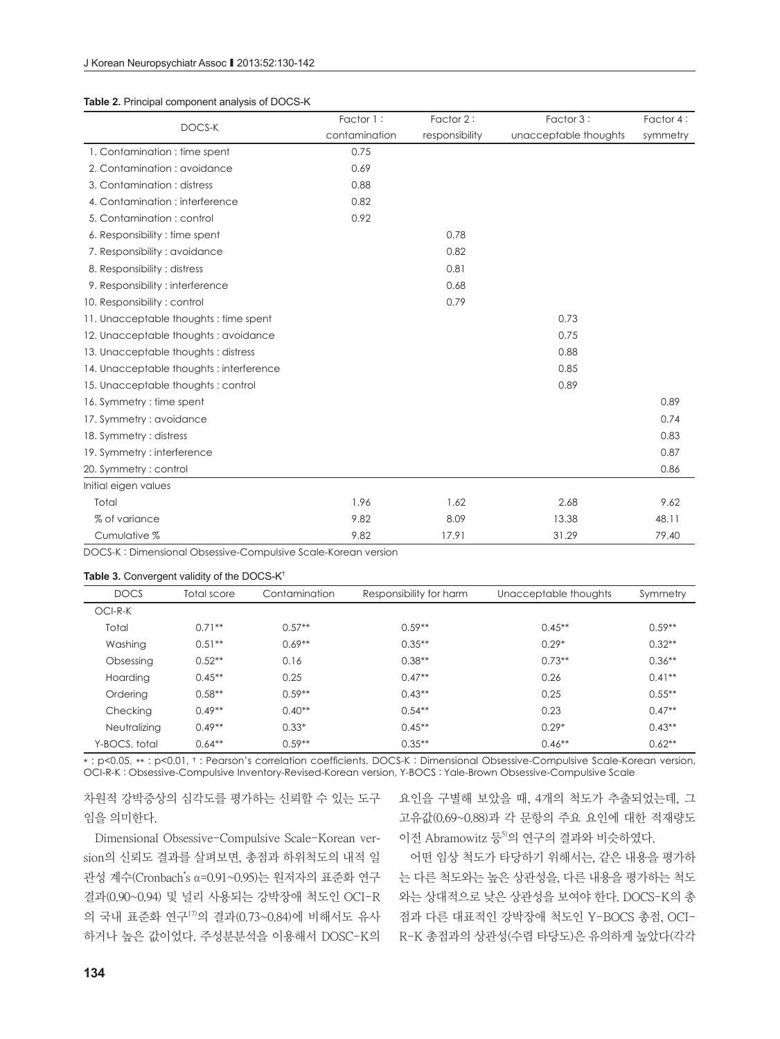#### **Table 2.** Principal component analysis of DOCS-K

|                                         | Factor 1:     | Factor 2:      | Factor 3:             | Factor 4: |
|-----------------------------------------|---------------|----------------|-----------------------|-----------|
| DOCS-K                                  | contamination | responsibility | unacceptable thoughts | symmetry  |
| 1. Contamination : time spent           | 0.75          |                |                       |           |
| 2. Contamination : avoidance            | 0.69          |                |                       |           |
| 3. Contamination: distress              | 0.88          |                |                       |           |
| 4. Contamination : interference         | 0.82          |                |                       |           |
| 5. Contamination: control               | 0.92          |                |                       |           |
| 6. Responsibility : time spent          |               | 0.78           |                       |           |
| 7. Responsibility: avoidance            |               | 0.82           |                       |           |
| 8. Responsibility: distress             |               | 0.81           |                       |           |
| 9. Responsibility: interference         |               | 0.68           |                       |           |
| 10. Responsibility: control             |               | 0.79           |                       |           |
| 11. Unacceptable thoughts: time spent   |               |                | 0.73                  |           |
| 12. Unacceptable thoughts: avoidance    |               |                | 0.75                  |           |
| 13. Unacceptable thoughts: distress     |               |                | 0.88                  |           |
| 14. Unacceptable thoughts: interference |               |                | 0.85                  |           |
| 15. Unacceptable thoughts: control      |               |                | 0.89                  |           |
| 16. Symmetry : time spent               |               |                |                       | 0.89      |
| 17. Symmetry: avoidance                 |               |                |                       | 0.74      |
| 18. Symmetry: distress                  |               |                |                       | 0.83      |
| 19. Symmetry: interference              |               |                |                       | 0.87      |
| 20. Symmetry: control                   |               |                |                       | 0.86      |
| Initial eigen values                    |               |                |                       |           |
| Total                                   | 1.96          | 1.62           | 2.68                  | 9.62      |
| % of variance                           | 9.82          | 8.09           | 13.38                 | 48.11     |
| Cumulative %                            | 9.82          | 17.91          | 31.29                 | 79.40     |

DOCS-K : Dimensional Obsessive-Compulsive Scale-Korean version

#### Table 3. Convergent validity of the DOCS-K<sup>†</sup>

| <b>DOCS</b>   | Total score | Contamination | Responsibility for harm | Unacceptable thoughts | Symmetry  |
|---------------|-------------|---------------|-------------------------|-----------------------|-----------|
| $OCI-R-K$     |             |               |                         |                       |           |
| Total         | $0.71**$    | $0.57**$      | $0.59**$                | $0.45***$             | $0.59**$  |
| Washing       | $0.51**$    | $0.69**$      | $0.35***$               | $0.29*$               | $0.32**$  |
| Obsessing     | $0.52**$    | 0.16          | $0.38**$                | $0.73**$              | $0.36**$  |
| Hoarding      | $0.45**$    | 0.25          | $0.47**$                | 0.26                  | $0.41**$  |
| Ordering      | $0.58**$    | $0.59**$      | $0.43**$                | 0.25                  | $0.55***$ |
| Checking      | $0.49**$    | $0.40**$      | $0.54**$                | 0.23                  | $0.47**$  |
| Neutralizing  | $0.49**$    | $0.33*$       | $0.45**$                | $0.29*$               | $0.43**$  |
| Y-BOCS, total | $0.64**$    | $0.59**$      | $0.35***$               | $0.46**$              | $0.62**$  |

\* : p<0.05, \*\* : p<0.01, † : Pearson's correlation coefficients. DOCS-K : Dimensional Obsessive-Compulsive Scale-Korean version, OCI-R-K : Obsessive-Compulsive Inventory-Revised-Korean version, Y-BOCS : Yale-Brown Obsessive-Compulsive Scale

차원적 강박증상의 심각도를 평가하는 신뢰할 수 있는 도구 임을 의미한다.

Dimensional Obsessive-Compulsive Scale-Korean version의 신뢰도 결과를 살펴보면, 총점과 하위척도의 내적 일 관성 계수(Cronbach's α=0.91~0.95)는 원저자의 표준화 연구 결과(0.90~0.94) 및 널리 사용되는 강박장애 척도인 OCI-R 의 국내 표준화 연구17) 의 결과(0.73~0.84)에 비해서도 유사 하거나 높은 값이었다. 주성분분석을 이용해서 DOSC-K의 요인을 구별해 보았을 때, 4개의 척도가 추출되었는데, 그 고유값(0.69~0.88)과 각 문항의 주요 요인에 대한 적재량도 이전 Abramowitz 등<sup>5)</sup>의 연구의 결과와 비슷하였다.

어떤 임상 척도가 타당하기 위해서는, 같은 내용을 평가하 는 다른 척도와는 높은 상관성을, 다른 내용을 평가하는 척도 와는 상대적으로 낮은 상관성을 보여야 한다. DOCS-K의 총 점과 다른 대표적인 강박장애 척도인 Y-BOCS 총점, OCI-R-K 총점과의 상관성(수렴 타당도)은 유의하게 높았다(각각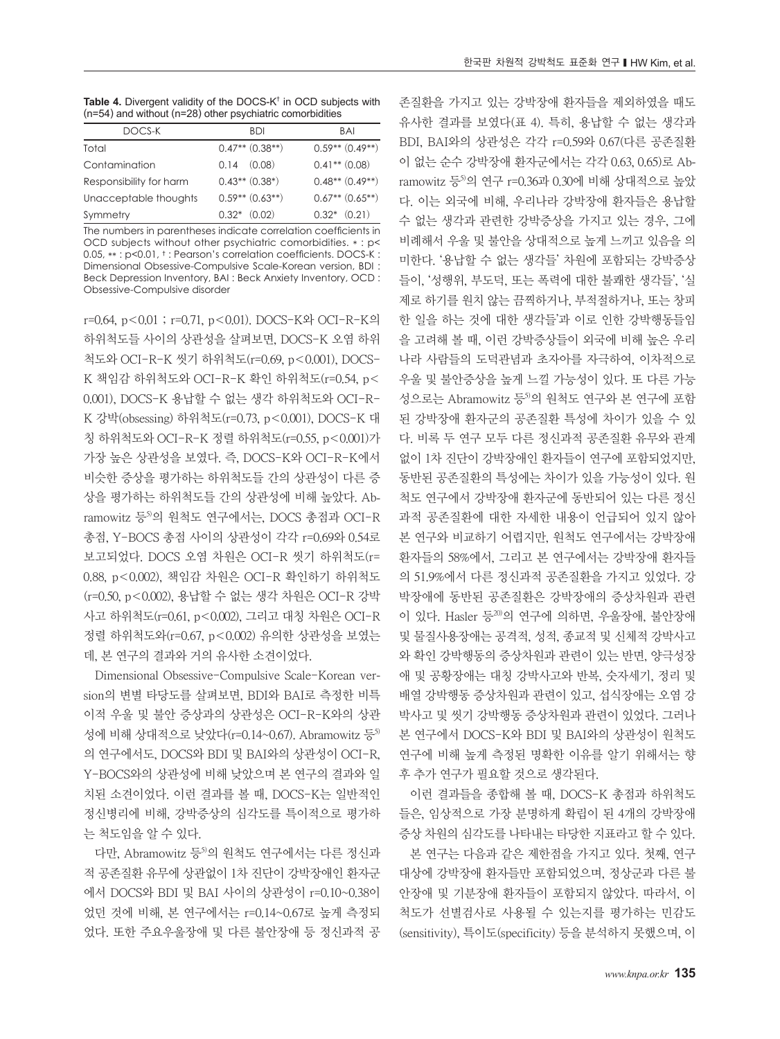**Table 4.** Divergent validity of the DOCS-K† in OCD subjects with (n=54) and without (n=28) other psychiatric comorbidities

| DOCS-K                  | <b>BDI</b>          | <b>BAI</b>          |
|-------------------------|---------------------|---------------------|
| Total                   | $0.47**$ $(0.38**)$ | $0.59**$ $(0.49**)$ |
| Contamination           | $0.14$ $(0.08)$     | $0.41**$ $(0.08)$   |
| Responsibility for harm | $0.43**$ $(0.38*)$  | $0.48**$ $(0.49**)$ |
| Unacceptable thoughts   | $0.59**$ $(0.63**)$ | $0.67**$ $(0.65**)$ |
| Symmetry                | $0.32*$ $(0.02)$    | $0.32*$ $(0.21)$    |

The numbers in parentheses indicate correlation coefficients in OCD subjects without other psychiatric comorbidities. \* : p< 0.05, \*\* : p<0.01, † : Pearson's correlation coefficients. DOCS-K : Dimensional Obsessive-Compulsive Scale-Korean version, BDI : Beck Depression Inventory, BAI : Beck Anxiety Inventory, OCD : Obsessive-Compulsive disorder

r=0.64, p<0.01 ; r=0.71, p<0.01). DOCS-K와 OCI-R-K의 하위척도들 사이의 상관성을 살펴보면, DOCS-K 오염 하위 척도와 OCI-R-K 씻기 하위척도(r=0.69, p<0.001), DOCS-K 책임감 하위척도와 OCI-R-K 확인 하위척도(r=0.54, p< 0.001), DOCS-K 용납할 수 없는 생각 하위척도와 OCI-R-K 강박(obsessing) 하위척도(r=0.73, p<0.001), DOCS-K 대 칭 하위척도와 OCI-R-K 정렬 하위척도(r=0.55, p<0.001)가 가장 높은 상관성을 보였다. 즉, DOCS-K와 OCI-R-K에서 비슷한 증상을 평가하는 하위척도들 간의 상관성이 다른 증 상을 평가하는 하위척도들 간의 상관성에 비해 높았다. Abramowitz 등 $5$ 의 원척도 연구에서는, DOCS 총점과 OCI-R 총점, Y-BOCS 총점 사이의 상관성이 각각 r=0.69와 0.54로 보고되었다. DOCS 오염 차원은 OCI-R 씻기 하위척도(r= 0.88, p<0.002), 책임감 차원은 OCI-R 확인하기 하위척도 (r=0.50, p<0.002), 용납할 수 없는 생각 차원은 OCI-R 강박 사고 하위척도(r=0.61, p<0.002), 그리고 대칭 차원은 OCI-R 정렬 하위척도와(r=0.67, p<0.002) 유의한 상관성을 보였는 데, 본 연구의 결과와 거의 유사한 소견이었다.

Dimensional Obsessive-Compulsive Scale-Korean version의 변별 타당도를 살펴보면, BDI와 BAI로 측정한 비특 이적 우울 및 불안 증상과의 상관성은 OCI-R-K와의 상관 성에 비해 상대적으로 낮았다(r=0.14~0.67). Abramowitz 등  $5$ 의 연구에서도, DOCS와 BDI 및 BAI와의 상관성이 OCI-R, Y-BOCS와의 상관성에 비해 낮았으며 본 연구의 결과와 일 치된 소견이었다. 이런 결과를 볼 때, DOCS-K는 일반적인 정신병리에 비해, 강박증상의 심각도를 특이적으로 평가하 는 척도임을 알 수 있다.

다만, Abramowitz 등<sup>5)</sup>의 원척도 연구에서는 다른 정신과 적 공존질환 유무에 상관없이 1차 진단이 강박장애인 환자군 에서 DOCS와 BDI 및 BAI 사이의 상관성이 r=0.10~0.38이 었던 것에 비해, 본 연구에서는 r=0.14~0.67로 높게 측정되 었다. 또한 주요우울장애 및 다른 불안장애 등 정신과적 공 존질환을 가지고 있는 강박장애 환자들을 제외하였을 때도 유사한 결과를 보였다(표 4). 특히, 용납할 수 없는 생각과 BDI, BAI와의 상관성은 각각 r=0.59와 0.67(다른 공존질환 이 없는 순수 강박장애 환자군에서는 각각 0.63, 0.65)로 Abramowitz 등 의 연구 r=0.36과 0.30에 비해 상대적으로 높았 다. 이는 외국에 비해, 우리나라 강박장애 환자들은 용납할 수 없는 생각과 관련한 강박증상을 가지고 있는 경우, 그에 비례해서 우울 및 불안을 상대적으로 높게 느끼고 있음을 의 미한다. '용납할 수 없는 생각들' 차원에 포함되는 강박증상 들이, '성행위, 부도덕, 또는 폭력에 대한 불쾌한 생각들', '실 제로 하기를 원치 않는 끔찍하거나, 부적절하거나, 또는 창피 한 일을 하는 것에 대한 생각들'과 이로 인한 강박행동들임 을 고려해 볼 때, 이런 강박증상들이 외국에 비해 높은 우리 나라 사람들의 도덕관념과 초자아를 자극하여, 이차적으로 우울 및 불안증상을 높게 느낄 가능성이 있다. 또 다른 가능 성으로는 Abramowitz 등<sup>5)</sup>의 원척도 연구와 본 연구에 포함 된 강박장애 환자군의 공존질환 특성에 차이가 있을 수 있 다. 비록 두 연구 모두 다른 정신과적 공존질환 유무와 관계 없이 1차 진단이 강박장애인 환자들이 연구에 포함되었지만, 동반된 공존질환의 특성에는 차이가 있을 가능성이 있다. 원 척도 연구에서 강박장애 환자군에 동반되어 있는 다른 정신 과적 공존질환에 대한 자세한 내용이 언급되어 있지 않아 본 연구와 비교하기 어렵지만, 원척도 연구에서는 강박장애 환자들의 58%에서, 그리고 본 연구에서는 강박장애 환자들 의 51.9%에서 다른 정신과적 공존질환을 가지고 있었다. 강 박장애에 동반된 공존질환은 강박장애의 증상차원과 관련 이 있다. Hasler 등20)의 연구에 의하면, 우울장애, 불안장애 및 물질사용장애는 공격적, 성적, 종교적 및 신체적 강박사고 와 확인 강박행동의 증상차원과 관련이 있는 반면, 양극성장 애 및 공황장애는 대칭 강박사고와 반복, 숫자세기, 정리 및 배열 강박행동 증상차원과 관련이 있고, 섭식장애는 오염 강 박사고 및 씻기 강박행동 증상차원과 관련이 있었다. 그러나 본 연구에서 DOCS-K와 BDI 및 BAI와의 상관성이 원척도 연구에 비해 높게 측정된 명확한 이유를 알기 위해서는 향 후 추가 연구가 필요할 것으로 생각된다.

이런 결과들을 종합해 볼 때, DOCS-K 총점과 하위척도 들은, 임상적으로 가장 분명하게 확립이 된 4개의 강박장애 증상 차원의 심각도를 나타내는 타당한 지표라고 할 수 있다.

본 연구는 다음과 같은 제한점을 가지고 있다. 첫째, 연구 대상에 강박장애 환자들만 포함되었으며, 정상군과 다른 불 안장애 및 기분장애 환자들이 포함되지 않았다. 따라서, 이 척도가 선별검사로 사용될 수 있는지를 평가하는 민감도 (sensitivity), 특이도(specificity) 등을 분석하지 못했으며, 이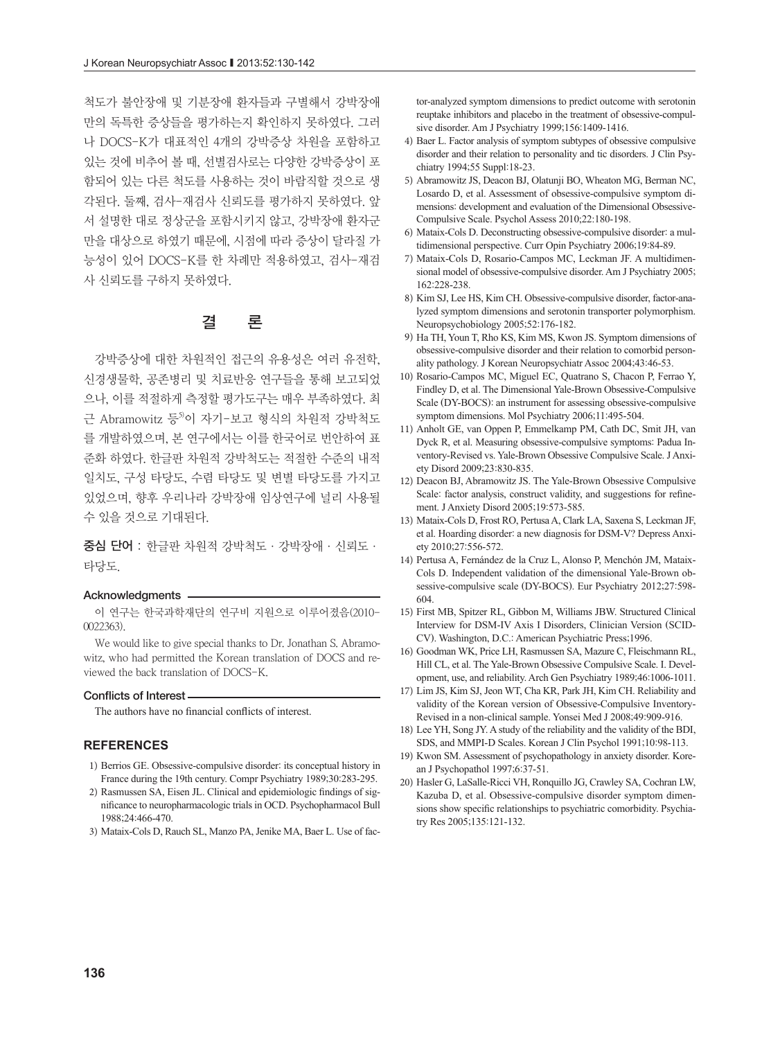척도가 불안장애 및 기분장애 환자들과 구별해서 강박장애 만의 독특한 증상들을 평가하는지 확인하지 못하였다. 그러 나 DOCS-K가 대표적인 4개의 강박증상 차원을 포함하고 있는 것에 비추어 볼 때, 선별검사로는 다양한 강박증상이 포 함되어 있는 다른 척도를 사용하는 것이 바람직할 것으로 생 각된다. 둘째, 검사-재검사 신뢰도를 평가하지 못하였다. 앞 서 설명한 대로 정상군을 포함시키지 않고, 강박장애 환자군 만을 대상으로 하였기 때문에, 시점에 따라 증상이 달라질 가 능성이 있어 DOCS-K를 한 차례만 적용하였고, 검사-재검 사 신뢰도를 구하지 못하였다.

### 결 론

강박증상에 대한 차원적인 접근의 유용성은 여러 유전학, 신경생물학, 공존병리 및 치료반응 연구들을 통해 보고되었 으나, 이를 적절하게 측정할 평가도구는 매우 부족하였다. 최 근 Abramowitz 등<sup>5)</sup>이 자기-보고 형식의 차원적 강박척도 를 개발하였으며, 본 연구에서는 이를 한국어로 번안하여 표 준화 하였다. 한글판 차원적 강박척도는 적절한 수준의 내적 일치도, 구성 타당도, 수렴 타당도 및 변별 타당도를 가지고 있었으며, 향후 우리나라 강박장애 임상연구에 널리 사용될 수 있을 것으로 기대된다.

중심 단어 : 한글판 차원적 강박척도·강박장애·신뢰도· 타당도.

#### Acknowledgments -

이 연구는 한국과학재단의 연구비 지원으로 이루어졌음(2010- 0022363).

We would like to give special thanks to Dr. Jonathan S. Abramowitz, who had permitted the Korean translation of DOCS and reviewed the back translation of DOCS-K.

#### Conflicts of Interest

The authors have no financial conflicts of interest.

#### **REFERENCES**

- 1) Berrios GE. Obsessive-compulsive disorder: its conceptual history in France during the 19th century. Compr Psychiatry 1989;30:283-295.
- 2) Rasmussen SA, Eisen JL. Clinical and epidemiologic findings of significance to neuropharmacologic trials in OCD. Psychopharmacol Bull 1988;24:466-470.
- 3) Mataix-Cols D, Rauch SL, Manzo PA, Jenike MA, Baer L. Use of fac-

tor-analyzed symptom dimensions to predict outcome with serotonin reuptake inhibitors and placebo in the treatment of obsessive-compulsive disorder. Am J Psychiatry 1999;156:1409-1416.

- 4) Baer L. Factor analysis of symptom subtypes of obsessive compulsive disorder and their relation to personality and tic disorders. J Clin Psychiatry 1994;55 Suppl:18-23.
- 5) Abramowitz JS, Deacon BJ, Olatunji BO, Wheaton MG, Berman NC, Losardo D, et al. Assessment of obsessive-compulsive symptom dimensions: development and evaluation of the Dimensional Obsessive-Compulsive Scale. Psychol Assess 2010;22:180-198.
- 6) Mataix-Cols D. Deconstructing obsessive-compulsive disorder: a multidimensional perspective. Curr Opin Psychiatry 2006;19:84-89.
- 7) Mataix-Cols D, Rosario-Campos MC, Leckman JF. A multidimensional model of obsessive-compulsive disorder. Am J Psychiatry 2005; 162:228-238.
- 8) Kim SJ, Lee HS, Kim CH. Obsessive-compulsive disorder, factor-analyzed symptom dimensions and serotonin transporter polymorphism. Neuropsychobiology 2005;52:176-182.
- 9) Ha TH, Youn T, Rho KS, Kim MS, Kwon JS. Symptom dimensions of obsessive-compulsive disorder and their relation to comorbid personality pathology. J Korean Neuropsychiatr Assoc 2004;43:46-53.
- 10) Rosario-Campos MC, Miguel EC, Quatrano S, Chacon P, Ferrao Y, Findley D, et al. The Dimensional Yale-Brown Obsessive-Compulsive Scale (DY-BOCS): an instrument for assessing obsessive-compulsive symptom dimensions. Mol Psychiatry 2006;11:495-504.
- 11) Anholt GE, van Oppen P, Emmelkamp PM, Cath DC, Smit JH, van Dyck R, et al. Measuring obsessive-compulsive symptoms: Padua Inventory-Revised vs. Yale-Brown Obsessive Compulsive Scale. J Anxiety Disord 2009;23:830-835.
- 12) Deacon BJ, Abramowitz JS. The Yale-Brown Obsessive Compulsive Scale: factor analysis, construct validity, and suggestions for refinement. J Anxiety Disord 2005;19:573-585.
- 13) Mataix-Cols D, Frost RO, Pertusa A, Clark LA, Saxena S, Leckman JF, et al. Hoarding disorder: a new diagnosis for DSM-V? Depress Anxiety 2010;27:556-572.
- 14) Pertusa A, Fernández de la Cruz L, Alonso P, Menchón JM, Mataix-Cols D. Independent validation of the dimensional Yale-Brown obsessive-compulsive scale (DY-BOCS). Eur Psychiatry 2012;27:598- 604.
- 15) First MB, Spitzer RL, Gibbon M, Williams JBW. Structured Clinical Interview for DSM-IV Axis I Disorders, Clinician Version (SCID-CV). Washington, D.C.: American Psychiatric Press;1996.
- 16) Goodman WK, Price LH, Rasmussen SA, Mazure C, Fleischmann RL, Hill CL, et al. The Yale-Brown Obsessive Compulsive Scale. I. Development, use, and reliability. Arch Gen Psychiatry 1989;46:1006-1011.
- 17) Lim JS, Kim SJ, Jeon WT, Cha KR, Park JH, Kim CH. Reliability and validity of the Korean version of Obsessive-Compulsive Inventory-Revised in a non-clinical sample. Yonsei Med J 2008;49:909-916.
- 18) Lee YH, Song JY. A study of the reliability and the validity of the BDI, SDS, and MMPI-D Scales. Korean J Clin Psychol 1991;10:98-113.
- 19) Kwon SM. Assessment of psychopathology in anxiety disorder. Korean J Psychopathol 1997;6:37-51.
- 20) Hasler G, LaSalle-Ricci VH, Ronquillo JG, Crawley SA, Cochran LW, Kazuba D, et al. Obsessive-compulsive disorder symptom dimensions show specific relationships to psychiatric comorbidity. Psychiatry Res 2005;135:121-132.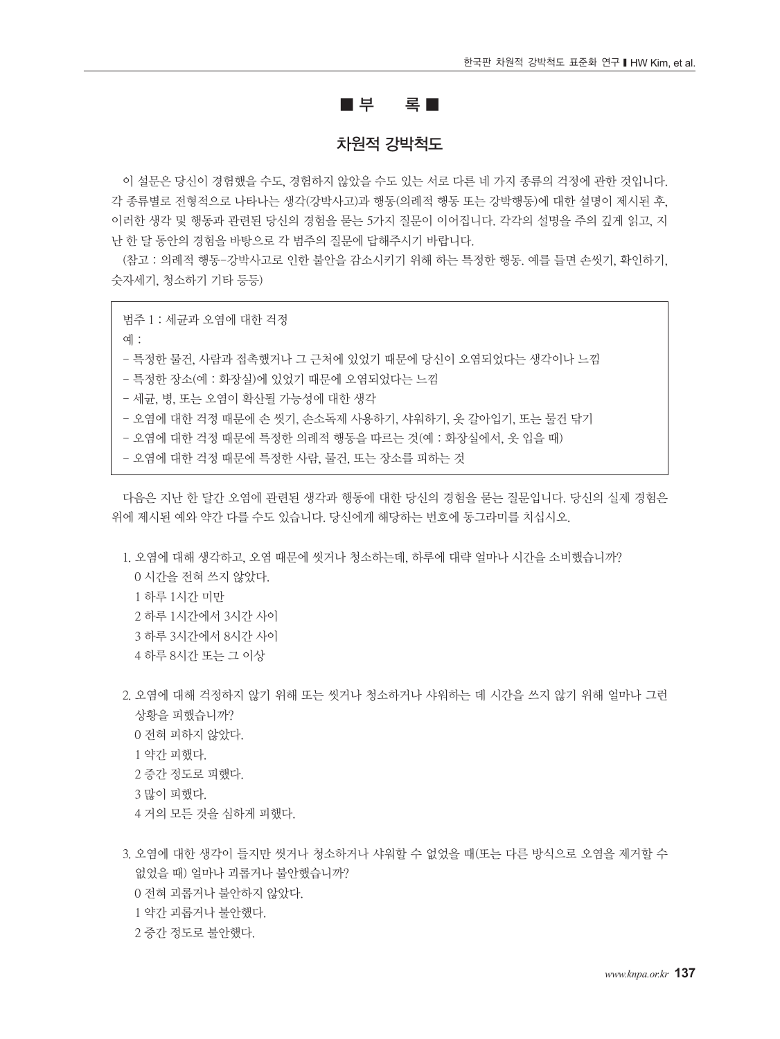### $\blacksquare = \blacksquare$

### 차원적 강박척도

이 설문은 당신이 경험했을 수도, 경험하지 않았을 수도 있는 서로 다른 네 가지 종류의 걱정에 관한 것입니다. 각 종류별로 전형적으로 나타나는 생각(강박사고)과 행동(의례적 행동 또는 강박행동)에 대한 설명이 제시된 후, 이러한 생각 및 행동과 관련된 당신의 경험을 묻는 5가지 질문이 이어집니다. 각각의 설명을 주의 깊게 읽고, 지 난 한 달 동안의 경험을 바탕으로 각 범주의 질문에 답해주시기 바랍니다.

(참고 : 의례적 행동-강박사고로 인한 불안을 감소시키기 위해 하는 특정한 행동. 예를 들면 손씻기, 확인하기, 숫자세기, 청소하기 기타 등등)

범주 1 : 세균과 오염에 대한 걱정

예 :

- 특정한 물건, 사람과 접촉했거나 그 근처에 있었기 때문에 당신이 오염되었다는 생각이나 느낌

- 특정한 장소(예 : 화장실)에 있었기 때문에 오염되었다는 느낌

- 세균, 병, 또는 오염이 확산될 가능성에 대한 생각

- 오염에 대한 걱정 때문에 손 씻기, 손소독제 사용하기, 샤워하기, 옷 갈아입기, 또는 물건 닦기

- 오염에 대한 걱정 때문에 특정한 의례적 행동을 따르는 것(예 : 화장실에서, 옷 입을 때)

- 오염에 대한 걱정 때문에 특정한 사람, 물건, 또는 장소를 피하는 것

다음은 지난 한 달간 오염에 관련된 생각과 행동에 대한 당신의 경험을 묻는 질문입니다. 당신의 실제 경험은 위에 제시된 예와 약간 다를 수도 있습니다. 당신에게 해당하는 번호에 동그라미를 치십시오.

1. 오염에 대해 생각하고, 오염 때문에 씻거나 청소하는데, 하루에 대략 얼마나 시간을 소비했습니까? 시간을 전혀 쓰지 않았다. 하루 1시간 미만 하루 1시간에서 3시간 사이 하루 3시간에서 8시간 사이 하루 8시간 또는 그 이상

- 2. 오염에 대해 걱정하지 않기 위해 또는 씻거나 청소하거나 샤워하는 데 시간을 쓰지 않기 위해 얼마나 그런 상황을 피했습니까? 0 전혀 피하지 않았다. 1 약간 피했다. 2 중간 정도로 피했다. 3 많이 피했다.
	- 4 거의 모든 것을 심하게 피했다.
- 3. 오염에 대한 생각이 들지만 씻거나 청소하거나 샤워할 수 없었을 때(또는 다른 방식으로 오염을 제거할 수 없었을 때) 얼마나 괴롭거나 불안했습니까? 0 전혀 괴롭거나 불안하지 않았다. 1 약간 괴롭거나 불안했다.
	- 2 중간 정도로 불안했다.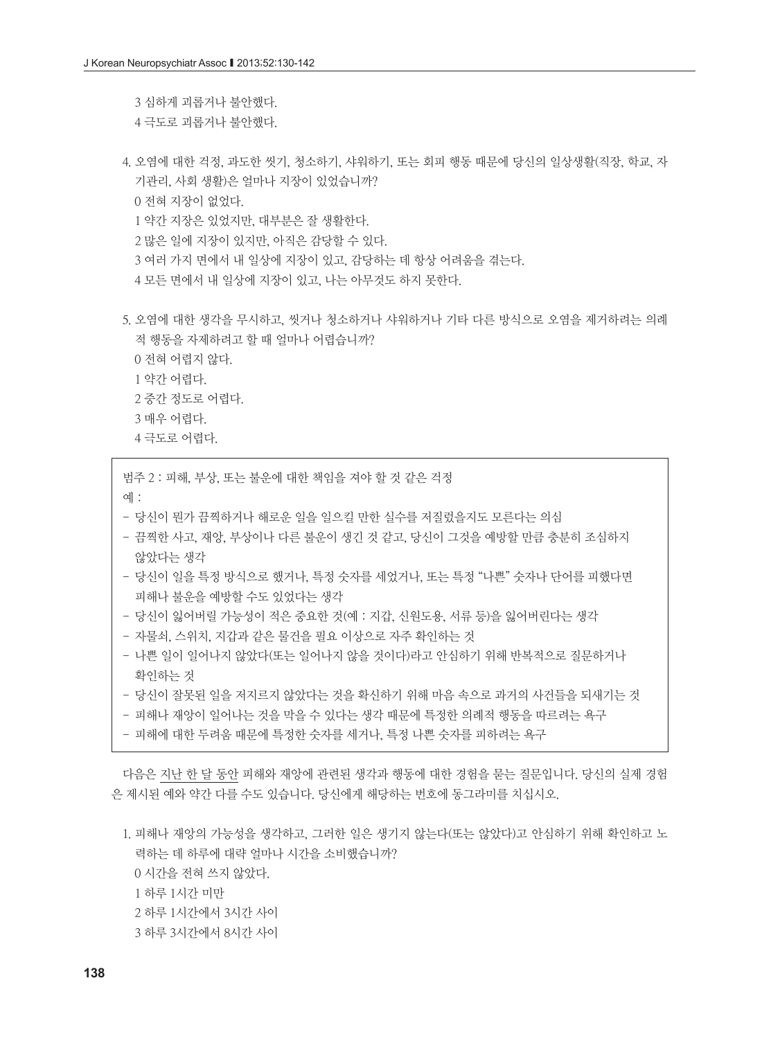3 심하게 괴롭거나 불안했다. 4 극도로 괴롭거나 불안했다.

- 4. 오염에 대한 걱정, 과도한 씻기, 청소하기, 샤워하기, 또는 회피 행동 때문에 당신의 일상생활(직장, 학교, 자 기관리, 사회 생활)은 얼마나 지장이 있었습니까? 0 전혀 지장이 없었다. 1 약간 지장은 있었지만, 대부분은 잘 생활한다. 2 많은 일에 지장이 있지만, 아직은 감당할 수 있다. 3 여러 가지 면에서 내 일상에 지장이 있고, 감당하는 데 항상 어려움을 겪는다. 4 모든 면에서 내 일상에 지장이 있고, 나는 아무것도 하지 못한다.
- 5. 오염에 대한 생각을 무시하고, 씻거나 청소하거나 샤워하거나 기타 다른 방식으로 오염을 제거하려는 의례 적 행동을 자제하려고 할 때 얼마나 어렵습니까? 0 전혀 어렵지 않다.
	- 1 약간 어렵다.
	- 2 중간 정도로 어렵다.
	- 3 매우 어렵다.
	- 4 극도로 어렵다.

범주 2 : 피해, 부상, 또는 불운에 대한 책임을 져야 할 것 같은 걱정

- 예 :
- 당신이 뭔가 끔찍하거나 해로운 일을 일으킬 만한 실수를 저질렀을지도 모른다는 의심
- 끔찍한 사고, 재앙, 부상이나 다른 불운이 생긴 것 같고, 당신이 그것을 예방할 만큼 충분히 조심하지 않았다는 생각
- 당신이 일을 특정 방식으로 했거나, 특정 숫자를 세었거나, 또는 특정 "나쁜" 숫자나 단어를 피했다면 피해나 불운을 예방할 수도 있었다는 생각
- 당신이 잃어버릴 가능성이 적은 중요한 것(예 : 지갑, 신원도용, 서류 등)을 잃어버린다는 생각
- 자물쇠, 스위치, 지갑과 같은 물건을 필요 이상으로 자주 확인하는 것
- 나쁜 일이 일어나지 않았다(또는 일어나지 않을 것이다)라고 안심하기 위해 반복적으로 질문하거나 확인하는 것
- 당신이 잘못된 일을 저지르지 않았다는 것을 확신하기 위해 마음 속으로 과거의 사건들을 되새기는 것
- 피해나 재앙이 일어나는 것을 막을 수 있다는 생각 때문에 특정한 의례적 행동을 따르려는 욕구
- 피해에 대한 두려움 때문에 특정한 숫자를 세거나, 특정 나쁜 숫자를 피하려는 욕구

다음은 지난 한 달 동안 피해와 재앙에 관련된 생각과 행동에 대한 경험을 묻는 질문입니다. 당신의 실제 경험 은 제시된 예와 약간 다를 수도 있습니다. 당신에게 해당하는 번호에 동그라미를 치십시오.

1. 피해나 재앙의 가능성을 생각하고, 그러한 일은 생기지 않는다(또는 않았다)고 안심하기 위해 확인하고 노 력하는 데 하루에 대략 얼마나 시간을 소비했습니까? 시간을 전혀 쓰지 않았다. 하루 1시간 미만 하루 1시간에서 3시간 사이 하루 3시간에서 8시간 사이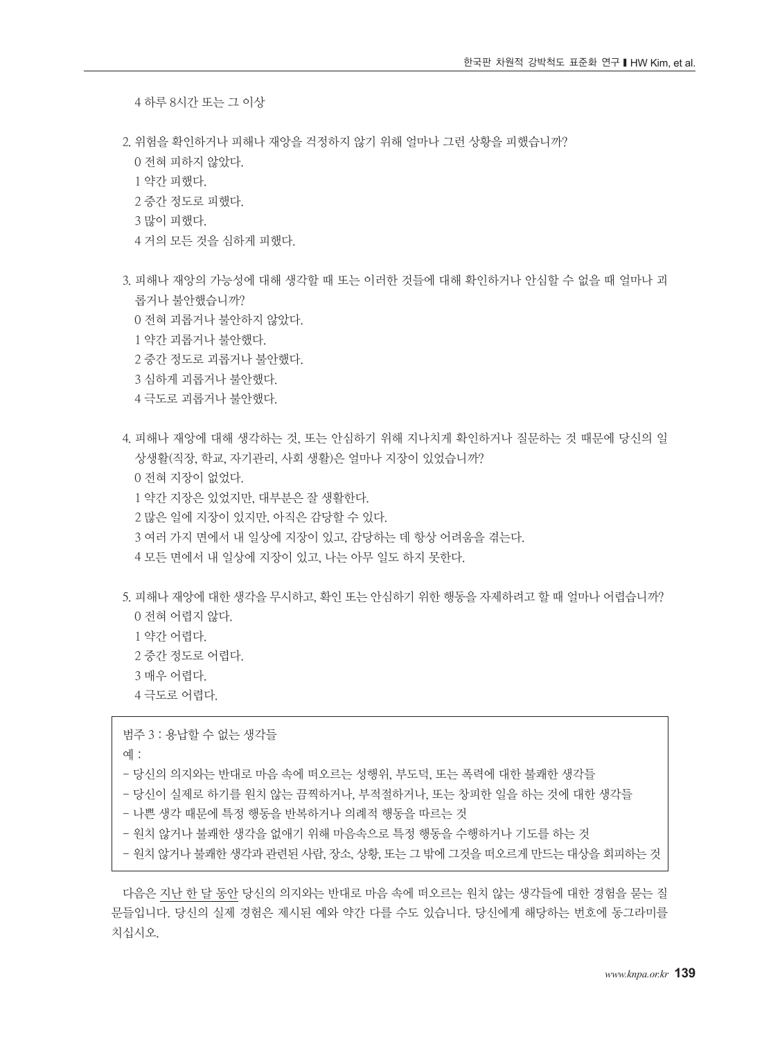4 하루 8시간 또는 그 이상

2. 위험을 확인하거나 피해나 재앙을 걱정하지 않기 위해 얼마나 그런 상황을 피했습니까? 0 전혀 피하지 않았다.

1 약간 피했다.

- 2 중간 정도로 피했다.
- 3 많이 피했다.
- 4 거의 모든 것을 심하게 피했다.
- 3. 피해나 재앙의 가능성에 대해 생각할 때 또는 이러한 것들에 대해 확인하거나 안심할 수 없을 때 얼마나 괴 롭거나 불안했습니까?
	- 0 전혀 괴롭거나 불안하지 않았다.
	- 1 약간 괴롭거나 불안했다.
	- 2 중간 정도로 괴롭거나 불안했다.
	- 3 심하게 괴롭거나 불안했다.
	- 4 극도로 괴롭거나 불안했다.
- 4. 피해나 재앙에 대해 생각하는 것, 또는 안심하기 위해 지나치게 확인하거나 질문하는 것 때문에 당신의 일 상생활(직장, 학교, 자기관리, 사회 생활)은 얼마나 지장이 있었습니까?
	- 0 전혀 지장이 없었다.
	- 1 약간 지장은 있었지만, 대부분은 잘 생활한다.
	- 2 많은 일에 지장이 있지만, 아직은 감당할 수 있다.
	- 3 여러 가지 면에서 내 일상에 지장이 있고, 감당하는 데 항상 어려움을 겪는다.
	- 4 모든 면에서 내 일상에 지장이 있고, 나는 아무 일도 하지 못한다.
- 5. 피해나 재앙에 대한 생각을 무시하고, 확인 또는 안심하기 위한 행동을 자제하려고 할 때 얼마나 어렵습니까? 0 전혀 어렵지 않다.
	- 1 약간 어렵다.
	- 2 중간 정도로 어렵다.
	- 3 매우 어렵다.
	- 4 극도로 어렵다.

범주 3 : 용납할 수 없는 생각들

예 :

- 당신의 의지와는 반대로 마음 속에 떠오르는 성행위, 부도덕, 또는 폭력에 대한 불쾌한 생각들
- 당신이 실제로 하기를 원치 않는 끔찍하거나, 부적절하거나, 또는 창피한 일을 하는 것에 대한 생각들
- 나쁜 생각 때문에 특정 행동을 반복하거나 의례적 행동을 따르는 것
- 원치 않거나 불쾌한 생각을 없애기 위해 마음속으로 특정 행동을 수행하거나 기도를 하는 것
- 원치 않거나 불쾌한 생각과 관련된 사람, 장소, 상황, 또는 그 밖에 그것을 떠오르게 만드는 대상을 회피하는 것

다음은 지난 한 달 동안 당신의 의지와는 반대로 마음 속에 떠오르는 원치 않는 생각들에 대한 경험을 묻는 질 문들입니다. 당신의 실제 경험은 제시된 예와 약간 다를 수도 있습니다. 당신에게 해당하는 번호에 동그라미를 치십시오.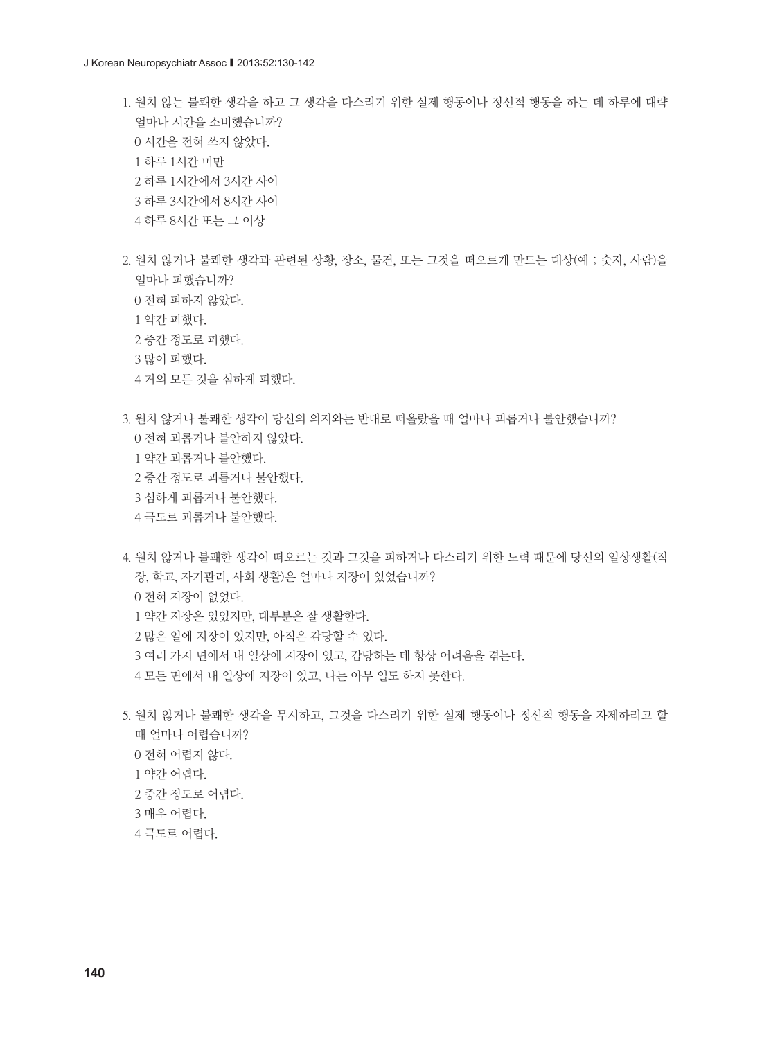- 1. 원치 않는 불쾌한 생각을 하고 그 생각을 다스리기 위한 실제 행동이나 정신적 행동을 하는 데 하루에 대략 얼마나 시간을 소비했습니까? 시간을 전혀 쓰지 않았다. 하루 1시간 미만 하루 1시간에서 3시간 사이 하루 3시간에서 8시간 사이
	- 하루 8시간 또는 그 이상
- 2. 원치 않거나 불쾌한 생각과 관련된 상황, 장소, 물건, 또는 그것을 떠오르게 만드는 대상(예 ; 숫자, 사람)을 얼마나 피했습니까? 전혀 피하지 않았다. 약간 피했다.
	- 중간 정도로 피했다.
	- 많이 피했다.
	- 거의 모든 것을 심하게 피했다.
- 3. 원치 않거나 불쾌한 생각이 당신의 의지와는 반대로 떠올랐을 때 얼마나 괴롭거나 불안했습니까?
	- 전혀 괴롭거나 불안하지 않았다.
	- 약간 괴롭거나 불안했다.
	- 중간 정도로 괴롭거나 불안했다.
	- 심하게 괴롭거나 불안했다.
	- 극도로 괴롭거나 불안했다.

4. 원치 않거나 불쾌한 생각이 떠오르는 것과 그것을 피하거나 다스리기 위한 노력 때문에 당신의 일상생활(직 장, 학교, 자기관리, 사회 생활)은 얼마나 지장이 있었습니까? 전혀 지장이 없었다. 약간 지장은 있었지만, 대부분은 잘 생활한다. 많은 일에 지장이 있지만, 아직은 감당할 수 있다. 여러 가지 면에서 내 일상에 지장이 있고, 감당하는 데 항상 어려움을 겪는다. 모든 면에서 내 일상에 지장이 있고, 나는 아무 일도 하지 못한다.

5. 원치 않거나 불쾌한 생각을 무시하고, 그것을 다스리기 위한 실제 행동이나 정신적 행동을 자제하려고 할 때 얼마나 어렵습니까? 전혀 어렵지 않다. 약간 어렵다. 중간 정도로 어렵다. 매우 어렵다. 극도로 어렵다.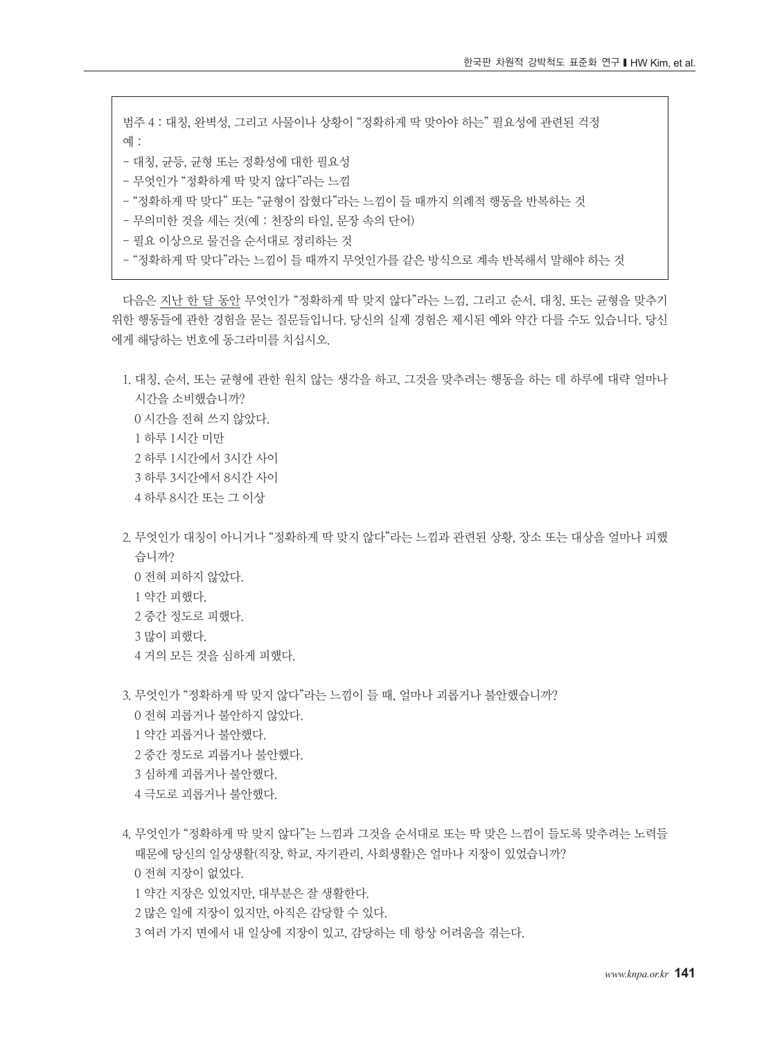범주 4 : 대칭, 완벽성, 그리고 사물이나 상황이 "정확하게 딱 맞아야 하는" 필요성에 관련된 걱정 예 : - 대칭, 균등, 균형 또는 정확성에 대한 필요성 - 무엇인가 "정확하게 딱 맞지 않다"라는 느낌 - "정확하게 딱 맞다" 또는 "균형이 잡혔다"라는 느낌이 들 때까지 의례적 행동을 반복하는 것 - 무의미한 것을 세는 것(예 : 천장의 타일, 문장 속의 단어)

- 필요 이상으로 물건을 순서대로 정리하는 것
- "정확하게 딱 맞다"라는 느낌이 들 때까지 무엇인가를 같은 방식으로 계속 반복해서 말해야 하는 것

다음은 지난 한 달 동안 무엇인가 "정확하게 딱 맞지 않다"라는 느낌, 그리고 순서, 대칭, 또는 균형을 맞추기 위한 행동들에 관한 경험을 묻는 질문들입니다. 당신의 실제 경험은 제시된 예와 약간 다를 수도 있습니다. 당신 에게 해당하는 번호에 동그라미를 치십시오.

1. 대칭, 순서, 또는 균형에 관한 원치 않는 생각을 하고, 그것을 맞추려는 행동을 하는 데 하루에 대략 얼마나 시간을 소비했습니까? 시간을 전혀 쓰지 않았다. 하루 1시간 미만 하루 1시간에서 3시간 사이 하루 3시간에서 8시간 사이 하루 8시간 또는 그 이상

2. 무엇인가 대칭이 아니거나 "정확하게 딱 맞지 않다"라는 느낌과 관련된 상황, 장소 또는 대상을 얼마나 피했 습니까? 0 전혀 피하지 않았다. 1 약간 피했다. 2 중간 정도로 피했다. 3 많이 피했다.

4 거의 모든 것을 심하게 피했다.

3. 무엇인가 "정확하게 딱 맞지 않다"라는 느낌이 들 때, 얼마나 괴롭거나 불안했습니까?

- 0 전혀 괴롭거나 불안하지 않았다.
- 1 약간 괴롭거나 불안했다.
- 2 중간 정도로 괴롭거나 불안했다.
- 3 심하게 괴롭거나 불안했다.
- 4 극도로 괴롭거나 불안했다.
- 4. 무엇인가 "정확하게 딱 맞지 않다"는 느낌과 그것을 순서대로 또는 딱 맞은 느낌이 들도록 맞추려는 노력들 때문에 당신의 일상생활(직장, 학교, 자기관리, 사회생활)은 얼마나 지장이 있었습니까? 0 전혀 지장이 없었다.
	- 1 약간 지장은 있었지만, 대부분은 잘 생활한다.
	- 2 많은 일에 지장이 있지만, 아직은 감당할 수 있다.
	- 3 여러 가지 면에서 내 일상에 지장이 있고, 감당하는 데 항상 어려움을 겪는다.